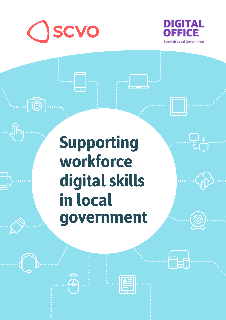

**FOL** 

 $\int\hspace{-0.5em}\sqrt{\hspace{-0.2em}}\hspace{-0.5em} \int$ 



コマ

**EE** 

# **Supporting workforce digital skills in local government**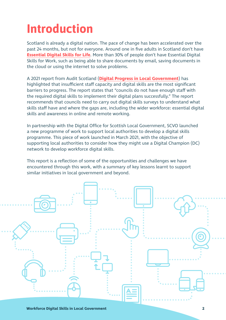## **Introduction**

Scotland is already a digital nation. The pace of change has been accelerated over the past 24 months, but not for everyone. Around one in five adults in Scotland don't have **[Essential Digital Skills for Life](https://www.lloydsbank.com/assets/media/pdfs/banking_with_us/whats-happening/211109-lloyds-essential-digital-skills-report-2021.pdf)**. More than 30% of people don't have Essential Digital Skills for Work, such as being able to share documents by email, saving documents in the cloud or using the internet to solve problems.

A 2021 report from Audit Scotland (**[Digital Progress in Local Government](https://www.audit-scotland.gov.uk/uploads/docs/report/2021/nr_210114_digital_progress_lg.pdf)**) has highlighted that insufficient staff capacity and digital skills are the most significant barriers to progress. The report states that "councils do not have enough staff with the required digital skills to implement their digital plans successfully." The report recommends that councils need to carry out digital skills surveys to understand what skills staff have and where the gaps are, including the wider workforce: essential digital skills and awareness in online and remote working.

In partnership with the Digital Office for Scottish Local Government, SCVO launched a new programme of work to support local authorities to develop a digital skills programme. This piece of work launched in March 2021, with the objective of supporting local authorities to consider how they might use a Digital Champion (DC) network to develop workforce digital skills.

This report is a reflection of some of the opportunities and challenges we have encountered through this work, with a summary of key lessons learnt to support similar initiatives in local government and beyond.

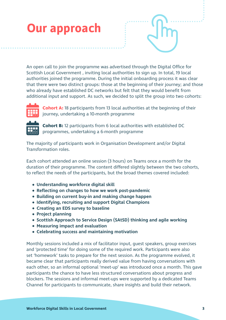## **Our approach**

An open call to join the programme was advertised through the Digital Office for Scottish Local Government , inviting local authorities to sign up. In total, 19 local authorities joined the programme. During the initial onboarding process it was clear that there were two distinct groups: those at the beginning of their journey; and those who already have established DC networks but felt that they would benefit from additional input and support. As such, we decided to split the group into two cohorts:



**Cohort A:** 18 participants from 13 local authorities at the beginning of their journey, undertaking a 10-month programme



**Cohort B:** 12 participants from 6 local authorities with established DC programmes, undertaking a 6-month programme

The majority of participants work in Organisation Development and/or Digital Transformation roles.

Each cohort attended an online session (3 hours) on Teams once a month for the duration of their programme. The content differed slightly between the two cohorts, to reflect the needs of the participants, but the broad themes covered included:

- **Understanding workforce digital skill**
- **Reflecting on changes to how we work post-pandemic**
- **Building on current buy-in and making change happen**
- **Identifying, recruiting and support Digital Champions**
- **Creating an EDS survey to baseline**
- **Project planning**
- **Scottish Approach to Service Design (SAtSD) thinking and agile working**
- **Measuring impact and evaluation**
- **Celebrating success and maintaining motivation**

Monthly sessions included a mix of facilitator input, guest speakers, group exercises and 'protected time' for doing some of the required work. Participants were also set 'homework' tasks to prepare for the next session. As the programme evolved, it became clear that participants really derived value from having conversations with each other, so an informal optional 'meet-up' was introduced once a month. This gave participants the chance to have less structured conversations about progress and blockers. The sessions and informal meet-ups were supported by a dedicated Teams Channel for participants to communicate, share insights and build their network.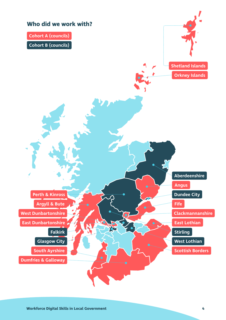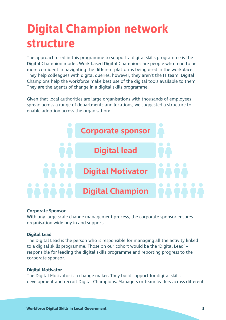## **Digital Champion network structure**

The approach used in this programme to support a digital skills programme is the Digital Champion model. Work-based Digital Champions are people who tend to be more confident in navigating the different platforms being used in the workplace. They help colleagues with digital queries, however, they aren't the IT team. Digital Champions help the workforce make best use of the digital tools available to them. They are the agents of change in a digital skills programme.

Given that local authorities are large organisations with thousands of employees spread across a range of departments and locations, we suggested a structure to enable adoption across the organisation:



#### **Corporate Sponsor**

With any large-scale change management process, the corporate sponsor ensures organisation-wide buy-in and support.

#### **Digital Lead**

The Digital Lead is the person who is responsible for managing all the activity linked to a digital skills programme. Those on our cohort would be the 'Digital Lead' – responsible for leading the digital skills programme and reporting progress to the corporate sponsor.

#### **Digital Motivator**

The Digital Motivator is a change-maker. They build support for digital skills development and recruit Digital Champions. Managers or team leaders across different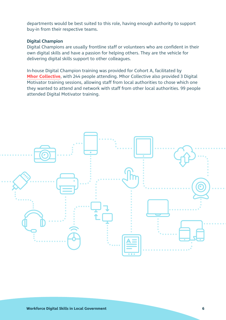departments would be best suited to this role, having enough authority to support buy-in from their respective teams.

#### **Digital Champion**

Digital Champions are usually frontline staff or volunteers who are confident in their own digital skills and have a passion for helping others. They are the vehicle for delivering digital skills support to other colleagues.

In-house Digital Champion training was provided for Cohort A, facilitated by **[Mhor Collective](https://www.mhorcollective.com/)**, with 244 people attending. Mhor Collective also provided 3 Digital Motivator training sessions, allowing staff from local authorities to chose which one they wanted to attend and network with staff from other local authorities. 99 people attended Digital Motivator training.

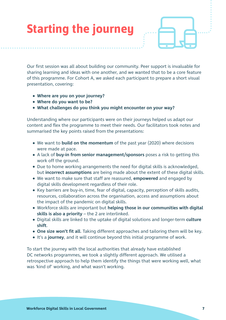## **Starting the journey**

Our first session was all about building our community. Peer support is invaluable for sharing learning and ideas with one another, and we wanted that to be a core feature of this programme. For Cohort A, we asked each participant to prepare a short visual presentation, covering:

- **Where are you on your journey?**
- **Where do you want to be?**
- **What challenges do you think you might encounter on your way?**

Understanding where our participants were on their journeys helped us adapt our content and flex the programme to meet their needs. Our facilitators took notes and summarised the key points raised from the presentations:

- We want to **build on the momentum** of the past year (2020) where decisions were made at pace.
- A lack of **buy-in from senior management/sponsors** poses a risk to getting this work off the ground.
- Due to home working arrangements the need for digital skills is acknowledged, but **incorrect assumptions** are being made about the extent of these digital skills.
- We want to make sure that staff are reassured, **empowered** and engaged by digital skills development regardless of their role.
- Key barriers are buy-in, time, fear of digital, capacity, perception of skills audits, resources, collaboration across the organisation, access and assumptions about the impact of the pandemic on digital skills.
- Workforce skills are important but **helping those in our communities with digital skills is also a priority** – the 2 are interlinked.
- Digital skills are linked to the uptake of digital solutions and longer-term **culture shift**.
- **One size won't fit all**. Taking different approaches and tailoring them will be key.
- **•** It's a **journey**, and it will continue beyond this initial programme of work.

To start the journey with the local authorities that already have established DC networks programmes, we took a slightly different approach. We utilised a retrospective approach to help them identify the things that were working well, what was 'kind of' working, and what wasn't working.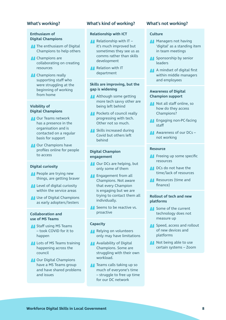#### **What's working?**

#### **Enthusiasm of Digital Champions**

- **The enthusiasm of Digital** Champions to help others
- **A** Champions are collaborating on creating resources
- **Champions really** supporting staff who were struggling at the beginning of working from home

#### **Visibility of Digital Champions**

- **Our Teams network** has a presence in the organisation and is contacted on a regular basis for support
- **Our Champions have** profiles online for people to access

#### **Digital curiosity**

- **People are trying new** things, are getting braver
- Level of digital curiosity within the service areas
- **Use of Digital Champions** as early adopters/testers

#### **Collaboration and use of MS Teams**

- **Staff using MS Teams** – took COVID for it to happen
- **Lots of MS Teams training** happening across the council
- **A** Our Digital Champions have a MS Teams group and have shared problems and issues

#### **What's kind of working?**

#### **Relationship with ICT**

- $\blacksquare$  Relationship with IT it's much improved but sometimes they see us as comms rather than skills development
- **Relation with IT** department

#### **Skills are improving, but the gap is widening**

- **Although some getting** more tech savvy other are being left behind
- **Pockets of council really** progressing with tech. Other not so much.
- **All Skills increased during** Covid but others left behind

#### **Digital Champion engagement**

- **Our DCs are helping, but** only some of them
- **A** Engagement from all Champions. Not aware that every Champion is engaging but we are trying to contact them all individually.
- Seems to be reactive vs. proactive

#### **Capacity**

- Relying on volunteers only may have limitations
- **Availability of Digital** Champions. Some are struggling with their own workload.
- **T**eams calls taking up so much of everyone's time – struggle to free up time for our DC network

#### **What's not working?**

#### **Culture**

- **Managers not having** 'digital' as a standing item in team meetings
- **Sponsorship by senior** leaders
- A mindset of digital first within middle managers and employees

#### **Awareness of Digital Champion support**

- **Not all staff online, so** how do they access Champions?
- **A** Engaging non-PC-facing staff
- Awareness of our DCs not working

#### **Resource**

- **Freeing up some specific** resources
- **DCs** do not have the time/lack of resources
- **Resources** (time and finance)

#### **Rollout of tech and new platforms**

- Some of the current technology does not measure up
- Speed, access and rollout of new devices and platforms
- **Not being able to use** certain systems – Zoom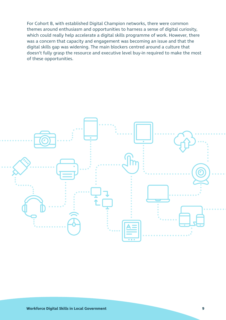For Cohort B, with established Digital Champion networks, there were common themes around enthusiasm and opportunities to harness a sense of digital curiosity, which could really help accelerate a digital skills programme of work. However, there was a concern that capacity and engagement was becoming an issue and that the digital skills gap was widening. The main blockers centred around a culture that doesn't fully grasp the resource and executive level buy-in required to make the most of these opportunities.

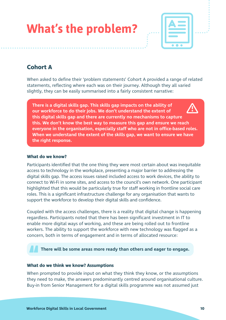| <b>What's the problem?</b> |  |  |
|----------------------------|--|--|
|                            |  |  |



### **Cohort A**

When asked to define their 'problem statements' Cohort A provided a range of related statements, reflecting where each was on their journey. Although they all varied slightly, they can be easily summarised into a fairly consistent narrative:

**There is a digital skills gap. This skills gap impacts on the ability of our workforce to do their jobs. We don't understand the extent of this digital skills gap and there are currently no mechanisms to capture this. We don't know the best way to measure this gap and ensure we reach everyone in the organisation, especially staff who are not in office-based roles. When we understand the extent of the skills gap, we want to ensure we have the right response.** 

#### **What do we know?**

Participants identified that the one thing they were most certain about was inequitable access to technology in the workplace, presenting a major barrier to addressing the digital skills gap. The access issues raised included access to work devices, the ability to connect to Wi-Fi in some sites, and access to the council's own network. One participant highlighted that this would be particularly true for staff working in frontline social care roles. This is a significant infrastructure challenge for any organisation that wants to support the workforce to develop their digital skills and confidence.

Coupled with the access challenges, there is a reality that digital change is happening regardless. Participants noted that there has been significant investment in IT to enable more digital ways of working, and these are being rolled out to frontline workers. The ability to support the workforce with new technology was flagged as a concern, both in terms of engagement and in terms of allocated resource:

#### **There will be some areas more ready than others and eager to engage.**

#### **What do we think we know? Assumptions**

When prompted to provide input on what they think they know, or the assumptions they need to make, the answers predominantly centred around organisational culture. Buy-in from Senior Management for a digital skills programme was not assumed just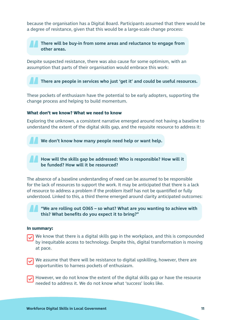because the organisation has a Digital Board. Participants assumed that there would be a degree of resistance, given that this would be a large-scale change process:

**There will be buy-in from some areas and reluctance to engage from other areas.**

Despite suspected resistance, there was also cause for some optimism, with an assumption that parts of their organisation would embrace this work:

**There are people in services who just 'get it' and could be useful resources.**

These pockets of enthusiasm have the potential to be early adopters, supporting the change process and helping to build momentum.

#### **What don't we know? What we need to know**

Exploring the unknown, a consistent narrative emerged around not having a baseline to understand the extent of the digital skills gap, and the requisite resource to address it:

**We don't know how many people need help or want help.**

**How will the skills gap be addressed: Who is responsible? How will it be funded? How will it be resourced?**

The absence of a baseline understanding of need can be assumed to be responsible for the lack of resources to support the work. It may be anticipated that there is a lack of resource to address a problem if the problem itself has not be quantified or fully understood. Linked to this, a third theme emerged around clarity anticipated outcomes:

**"We are rolling out O365 – so what? What are you wanting to achieve with this? What benefits do you expect it to bring?"** 

#### **In summary:**

- We know that there is a digital skills gap in the workplace, and this is compounded by inequitable access to technology. Despite this, digital transformation is moving at pace.
- We assume that there will be resistance to digital upskilling, however, there are opportunities to harness pockets of enthusiasm.
- However, we do not know the extent of the digital skills gap or have the resource needed to address it. We do not know what 'success' looks like.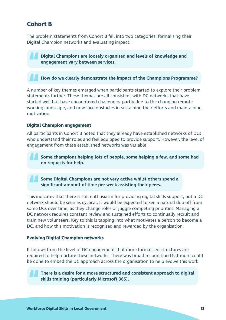### **Cohort B**

The problem statements from Cohort B fell into two categories: formalising their Digital Champion networks and evaluating impact.

**Digital Champions are loosely organised and levels of knowledge and engagement vary between services.**

**How do we clearly demonstrate the impact of the Champions Programme?**

A number of key themes emerged when participants started to explore their problem statements further. These themes are all consistent with DC networks that have started well but have encountered challenges, partly due to the changing remote working landscape, and now face obstacles in sustaining their efforts and maintaining motivation.

#### **Digital Champion engagement**

All participants in Cohort B noted that they already have established networks of DCs who understand their roles and feel equipped to provide support. However, the level of engagement from these established networks was variable:

**Some champions helping lots of people, some helping a few, and some had no requests for help.**

**Some Digital Champions are not very active whilst others spend a significant amount of time per week assisting their peers.**

This indicates that there is still enthusiasm for providing digital skills support, but a DC network should be seen as cyclical. It would be expected to see a natural dop-off from some DCs over time, as they change roles or juggle competing priorities. Managing a DC network requires constant review and sustained efforts to continually recruit and train new volunteers. Key to this is tapping into what motivates a person to become a DC, and how this motivation is recognised and rewarded by the organisation.

#### **Evolving Digital Champion networks**

It follows from the level of DC engagement that more formalised structures are required to help nurture these networks. There was broad recognition that more could be done to embed the DC approach across the organisation to help evolve this work:

**There is a desire for a more structured and consistent approach to digital skills training (particularly Microsoft 365).**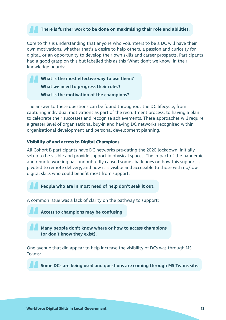#### **There is further work to be done on maximising their role and abilities.**

Core to this is understanding that anyone who volunteers to be a DC will have their own motivations, whether that's a desire to help others, a passion and curiosity for digital, or an opportunity to develop their own skills and career prospects. Participants had a good grasp on this but labelled this as this 'What don't we know' in their knowledge boards:

**What is the most effective way to use them? What we need to progress their roles? What is the motivation of the champions?** 

The answer to these questions can be found throughout the DC lifecycle, from capturing individual motivations as part of the recruitment process, to having a plan to celebrate their successes and recognise achievements. These approaches will require a greater level of organisational buy-in and having DC networks recognised within organisational development and personal development planning.

#### **Visibility of and access to Digital Champions**

All Cohort B participants have DC networks pre-dating the 2020 lockdown, initially setup to be visible and provide support in physical spaces. The impact of the pandemic and remote working has undoubtedly caused some challenges on how this support is pivoted to remote delivery, and how it is visible and accessible to those with no/low digital skills who could benefit most from support.

**People who are in most need of help don't seek it out.**

A common issue was a lack of clarity on the pathway to support:



**Access to champions may be confusing**.

**Many people don't know where or how to access champions (or don't know they exist).**

One avenue that did appear to help increase the visibility of DCs was through MS Teams:

**Some DCs are being used and questions are coming through MS Teams site.**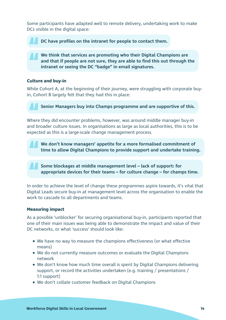Some participants have adapted well to remote delivery, undertaking work to make DCs visible in the digital space:

**DC have profiles on the intranet for people to contact them.**

**We think that services are promoting who their Digital Champions are and that if people are not sure, they are able to find this out through the intranet or seeing the DC "badge" in email signatures.**

#### **Culture and buy-in**

While Cohort A, at the beginning of their journey, were struggling with corporate buyin, Cohort B largely felt that they had this in place:

**Senior Managers buy into Champs programme and are supportive of this.** 

Where they did encounter problems, however, was around middle manager buy-in and broader culture issues. In organisations as large as local authorities, this is to be expected as this is a large-scale change management process.

**We don't know managers' appetite for a more formalised commitment of time to allow Digital Champions to provide support and undertake training.**

**Some blockages at middle management level – lack of support: for appropriate devices for their teams – for culture change – for champs time.**

In order to achieve the level of change these programmes aspire towards, it's vital that Digital Leads secure buy-in at management level across the organisation to enable the work to cascade to all departments and teams.

#### **Measuring impact**

As a possible 'unblocker' for securing organisational buy-in, participants reported that one of their main issues was being able to demonstrate the impact and value of their DC networks, or what 'success' should look like:

- We have no way to measure the champions effectiveness (or what effective means)
- We do not currently measure outcomes or evaluate the Digital Champions network
- We don't know how much time overall is spent by Digital Champions delivering support, or record the activities undertaken (e.g. training / presentations / 1:1 support)
- We don't collate customer feedback on Digital Champions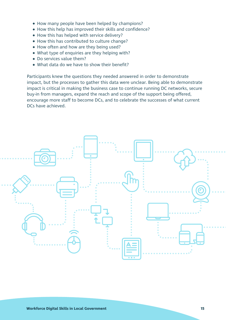- How many people have been helped by champions?
- How this help has improved their skills and confidence?
- How this has helped with service delivery?
- How this has contributed to culture change?
- How often and how are they being used?
- What type of enquiries are they helping with?
- Do services value them?
- What data do we have to show their benefit?

Participants knew the questions they needed answered in order to demonstrate impact, but the processes to gather this data were unclear. Being able to demonstrate impact is critical in making the business case to continue running DC networks, secure buy-in from managers, expand the reach and scope of the support being offered, encourage more staff to become DCs, and to celebrate the successes of what current DCs have achieved.

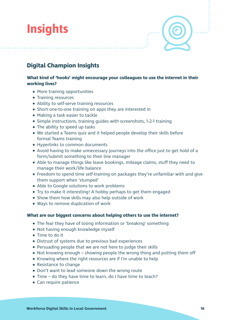## **Insights**

### **Digital Champion Insights**

#### **What kind of 'hooks' might encourage your colleagues to use the internet in their working lives?**

- More training opportunities
- Training resources
- Ability to self-serve training resources
- Short one-to-one training on apps they are interested in
- Making a task easier to tackle
- Simple instructions, training guides with screenshots, 1-2-1 training
- The ability to speed up tasks
- We started a Teams quiz and it helped people develop their skills before formal Teams training
- Hyperlinks to common documents
- Avoid having to make unnecessary journeys into the office just to get hold of a form/submit something to their line manager
- Able to manage things like leave bookings, mileage claims, stuff they need to manage their work/life balance
- Freedom to spend time self-training on packages they're unfamiliar with and give them support when 'stumped'
- Able to Google solutions to work problems
- Try to make it interesting! A hobby perhaps to get them engaged
- Show them how skills may also help outside of work
- Ways to remove duplication of work

#### **What are our biggest concerns about helping others to use the internet?**

- The fear they have of losing information or 'breaking' something
- Not having enough knowledge myself
- Time to do it
- Distrust of systems due to previous bad experiences
- Persuading people that we are not here to judge their skills
- Not knowing enough showing people the wrong thing and putting them off
- Knowing where the right resources are if I'm unable to help
- Resistance to change
- Don't want to lead someone down the wrong route
- Time do they have time to learn, do I have time to teach?
- Can require patience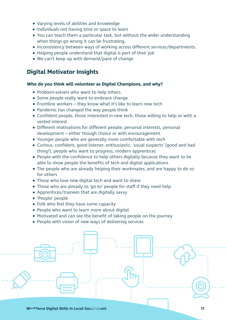- Varying levels of abilities and knowledge
- Individuals not having time or space to learn
- You can teach them a particular task, but without the wider understanding when things go wrong it can be frustrating.
- Inconsistency between ways of working across different services/departments.
- Helping people understand that digital is part of their job
- We can't keep up with demand/pace of change

### **Digital Motivator Insights**

#### **Who do you think will volunteer as Digital Champions, and why?**

- Problem-solvers who want to help others
- Some people really want to embrace change
- Frontline workers they know what it's like to learn new tech
- Pandemic has changed the way people think
- Confident people, those interested in new tech, those willing to help or with a vested interest
- Different motivations for different people; personal interests, personal development – either though choice or with encouragement
- Younger people who are generally more comfortable with tech
- Curious, confident, good listener, enthusiastic, 'usual suspects' (good and bad thing!), people who want to progress, modern apprentices
- People with the confidence to help others digitally because they want to be able to show people the benefits of tech and digital applications
- The people who are already helping their workmates, and are happy to do so for others
- Those who love new digital tech and want to share
- Those who are already to 'go-to' people for staff if they need help
- Apprentices/trainees that are digitally savvy
- 'People' people
- Folk who feel they have some capacity
- People who want to learn more about digital
- Motivated and can see the benefit of taking people on the journey
- People with vision of new ways of delivering services

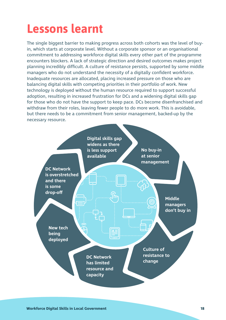## **Lessons learnt**

The single biggest barrier to making progress across both cohorts was the level of buyin, which starts at corporate level. Without a corporate sponsor or an organisational commitment to addressing workforce digital skills every other part of the programme encounters blockers. A lack of strategic direction and desired outcomes makes project planning incredibly difficult. A culture of resistance persists, supported by some middle managers who do not understand the necessity of a digitally confident workforce. Inadequate resources are allocated, placing increased pressure on those who are balancing digital skills with competing priorities in their portfolio of work. New technology is deployed without the human resource required to support successful adoption, resulting in increased frustration for DCs and a widening digital skills gap for those who do not have the support to keep pace. DCs become disenfranchised and withdraw from their roles, leaving fewer people to do more work. This is avoidable, but there needs to be a commitment from senior management, backed-up by the necessary resource.

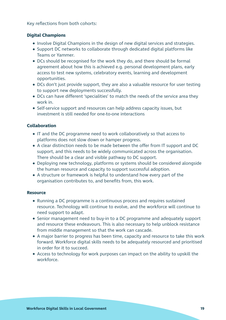Key reflections from both cohorts:

#### **Digital Champions**

- Involve Digital Champions in the design of new digital services and strategies.
- Support DC networks to collaborate through dedicated digital platforms like Teams or Yammer.
- DCs should be recognised for the work they do, and there should be formal agreement about how this is achieved e.g. personal development plans, early access to test new systems, celebratory events, learning and development opportunities.
- DCs don't just provide support, they are also a valuable resource for user testing to support new deployments successfully.
- DCs can have different 'specialities' to match the needs of the service area they work in.
- Self-service support and resources can help address capacity issues, but investment is still needed for one-to-one interactions

#### **Collaboration**

- IT and the DC programme need to work collaboratively so that access to platforms does not slow down or hamper progress.
- A clear distinction needs to be made between the offer from IT support and DC support, and this needs to be widely communicated across the organisation. There should be a clear and visible pathway to DC support.
- Deploying new technology, platforms or systems should be considered alongside the human resource and capacity to support successful adoption.
- A structure or framework is helpful to understand how every part of the organisation contributes to, and benefits from, this work.

#### **Resource**

- Running a DC programme is a continuous process and requires sustained resource. Technology will continue to evolve, and the workforce will continue to need support to adapt.
- Senior management need to buy-in to a DC programme and adequately support and resource these endeavours. This is also necessary to help unblock resistance from middle management so that the work can cascade.
- A major barrier to progress has been time, capacity and resource to take this work forward. Workforce digital skills needs to be adequately resourced and prioritised in order for it to succeed.
- Access to technology for work purposes can impact on the ability to upskill the workforce.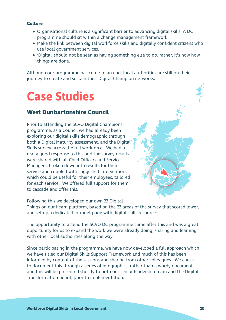#### **Culture**

- Organisational culture is a significant barrier to advancing digital skills. A DC programme should sit within a change management framework.
- Make the link between digital workforce skills and digitally confident citizens who use local government services.
- 'Digital' should not be seen as having something else to do, rather, it's now how things are done.

Although our programme has come to an end, local authorities are still on their journey to create and sustain their Digital Champion networks.

### **Case Studies**

### **West Dunbartonshire Council**

Prior to attending the SCVO Digital Champions programme, as a Council we had already been exploring our digital skills demographic through both a Digital Maturity assessment, and the Digital Skills survey across the full workforce. We had a really good response to this and the survey results were shared with all Chief Officers and Service Managers, broken down into results for their service and coupled with suggested interventions which could be useful for their employees, tailored for each service. We offered full support for them to cascade and offer this.

Following this we developed our own 23 Digital

Things on our Ilearn platform, based on the 23 areas of the survey that scored lower, and set up a dedicated intranet page with digital skills resources.

The opportunity to attend the SCVO DC programme came after this and was a great opportunity for us to expand the work we were already doing, sharing and learning with other local authorities along the way.

Since participating in the programme, we have now developed a full approach which we have titled our Digital Skills Support Framework and much of this has been informed by content of the sessions and sharing from other colleagues. We chose to document this through a series of infographics, rather than a wordy document and this will be presented shortly to both our senior leadership team and the Digital Transformation board, prior to implementation.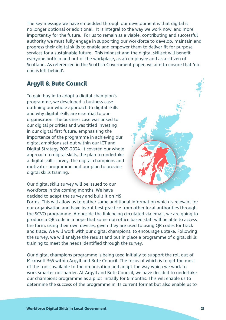The key message we have embedded through our development is that digital is no longer optional or additional. It is integral to the way we work now, and more importantly for the future. For us to remain as a viable, contributing and successful authority we must fully engage in supporting our workforce to develop, maintain and progress their digital skills to enable and empower them to deliver fit for purpose services for a sustainable future. This mindset and the digital skillset will benefit everyone both in and out of the workplace, as an employee and as a citizen of Scotland. As referenced in the Scottish Government paper, we aim to ensure that 'noone is left behind'.

### **Argyll & Bute Council**

To gain buy in to adopt a digital champion's programme, we developed a business case outlining our whole approach to digital skills and why digital skills are essential to our organisation. The business case was linked to our digital priorities and was titled Investing in our digital first future, emphasising the importance of the programme in achieving our digital ambitions set out within our ICT and Digital Strategy 2021-2024. It covered our whole approach to digital skills, the plan to undertake a digital skills survey, the digital champions and motivator programme and our plan to provide digital skills training.



Our digital skills survey will be issued to our workforce in the coming months. We have decided to adapt the survey and built it on MS

Forms. This will allow us to gather some additional information which is relevant for our organisation and have learnt best practice from other local authorities through the SCVO programme. Alongside the link being circulated via email, we are going to produce a QR code in a hope that some non-office based staff will be able to access the form, using their own devices, given they are used to using QR codes for track and trace. We will work with our digital champions, to encourage uptake. Following the survey, we will analyse the results and put in place a programme of digital skills training to meet the needs identified through the survey.

Our digital champions programme is being used initially to support the roll out of Microsoft 365 within Argyll and Bute Council. The focus of which is to get the most of the tools available to the organisation and adapt the way which we work to work smarter not harder. At Argyll and Bute Council, we have decided to undertake our champions programme as a pilot initially for 6 months. This will enable us to determine the success of the programme in its current format but also enable us to